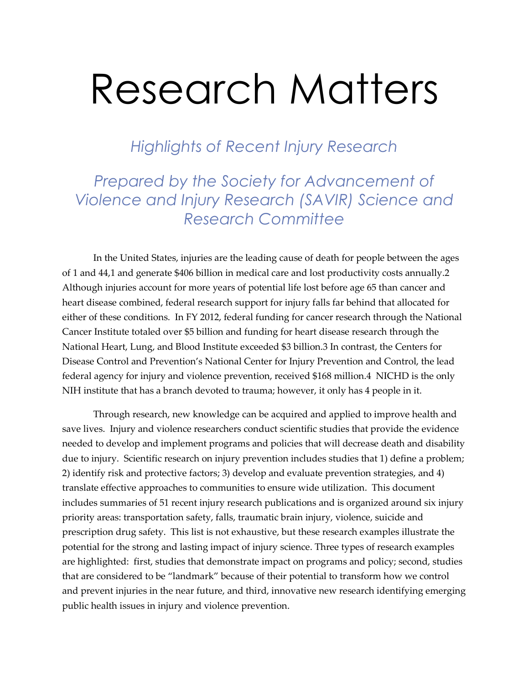*Highlights of Recent Injury Research* 

## *Prepared by the Society for Advancement of Violence and Injury Research (SAVIR) Science and Research Committee*

In the United States, injuries are the leading cause of death for people between the ages of 1 and 44,1 and generate \$406 billion in medical care and lost productivity costs annually.2 Although injuries account for more years of potential life lost before age 65 than cancer and heart disease combined, federal research support for injury falls far behind that allocated for either of these conditions. In FY 2012, federal funding for cancer research through the National Cancer Institute totaled over \$5 billion and funding for heart disease research through the National Heart, Lung, and Blood Institute exceeded \$3 billion.3 In contrast, the Centers for Disease Control and Prevention's National Center for Injury Prevention and Control, the lead federal agency for injury and violence prevention, received \$168 million.4 NICHD is the only NIH institute that has a branch devoted to trauma; however, it only has 4 people in it.

Through research, new knowledge can be acquired and applied to improve health and save lives. Injury and violence researchers conduct scientific studies that provide the evidence needed to develop and implement programs and policies that will decrease death and disability due to injury. Scientific research on injury prevention includes studies that 1) define a problem; 2) identify risk and protective factors; 3) develop and evaluate prevention strategies, and 4) translate effective approaches to communities to ensure wide utilization. This document includes summaries of 51 recent injury research publications and is organized around six injury priority areas: transportation safety, falls, traumatic brain injury, violence, suicide and prescription drug safety. This list is not exhaustive, but these research examples illustrate the potential for the strong and lasting impact of injury science. Three types of research examples are highlighted: first, studies that demonstrate impact on programs and policy; second, studies that are considered to be "landmark" because of their potential to transform how we control and prevent injuries in the near future, and third, innovative new research identifying emerging public health issues in injury and violence prevention.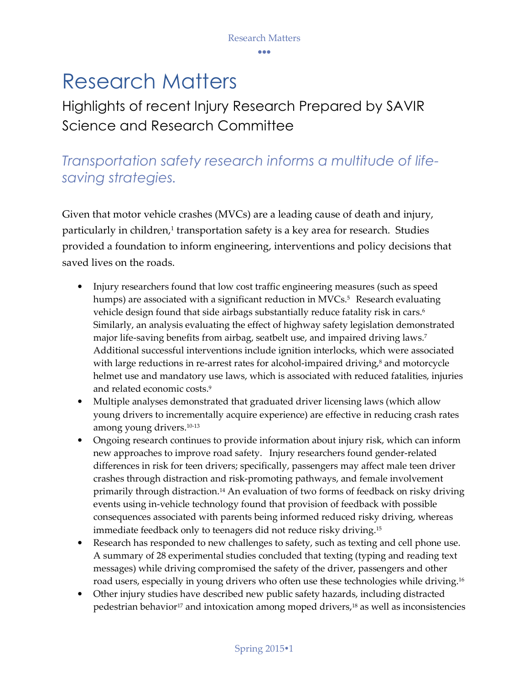## Highlights of recent Injury Research Prepared by SAVIR Science and Research Committee

## *Transportation safety research informs a multitude of lifesaving strategies.*

Given that motor vehicle crashes (MVCs) are a leading cause of death and injury, particularly in children,<sup>1</sup> transportation safety is a key area for research. Studies provided a foundation to inform engineering, interventions and policy decisions that saved lives on the roads.

- Injury researchers found that low cost traffic engineering measures (such as speed humps) are associated with a significant reduction in MVCs.<sup>5</sup> Research evaluating vehicle design found that side airbags substantially reduce fatality risk in cars.<sup>6</sup> Similarly, an analysis evaluating the effect of highway safety legislation demonstrated major life-saving benefits from airbag, seatbelt use, and impaired driving laws.<sup>7</sup> Additional successful interventions include ignition interlocks, which were associated with large reductions in re-arrest rates for alcohol-impaired driving,<sup>8</sup> and motorcycle helmet use and mandatory use laws, which is associated with reduced fatalities, injuries and related economic costs.<sup>9</sup>
- Multiple analyses demonstrated that graduated driver licensing laws (which allow young drivers to incrementally acquire experience) are effective in reducing crash rates among young drivers.10-13
- Ongoing research continues to provide information about injury risk, which can inform new approaches to improve road safety. Injury researchers found gender-related differences in risk for teen drivers; specifically, passengers may affect male teen driver crashes through distraction and risk-promoting pathways, and female involvement primarily through distraction.14 An evaluation of two forms of feedback on risky driving events using in-vehicle technology found that provision of feedback with possible consequences associated with parents being informed reduced risky driving, whereas immediate feedback only to teenagers did not reduce risky driving.<sup>15</sup>
- Research has responded to new challenges to safety, such as texting and cell phone use. A summary of 28 experimental studies concluded that texting (typing and reading text messages) while driving compromised the safety of the driver, passengers and other road users, especially in young drivers who often use these technologies while driving.<sup>16</sup>
- Other injury studies have described new public safety hazards, including distracted pedestrian behavior<sup>17</sup> and intoxication among moped drivers,<sup>18</sup> as well as inconsistencies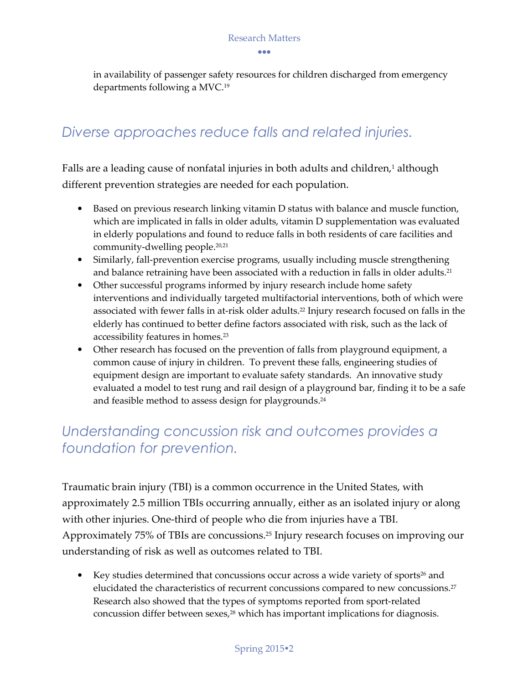in availability of passenger safety resources for children discharged from emergency departments following a MVC.<sup>19</sup>

## *Diverse approaches reduce falls and related injuries.*

Falls are a leading cause of nonfatal injuries in both adults and children,<sup>1</sup> although different prevention strategies are needed for each population.

- Based on previous research linking vitamin D status with balance and muscle function, which are implicated in falls in older adults, vitamin D supplementation was evaluated in elderly populations and found to reduce falls in both residents of care facilities and community-dwelling people.20,21
- Similarly, fall-prevention exercise programs, usually including muscle strengthening and balance retraining have been associated with a reduction in falls in older adults.<sup>21</sup>
- Other successful programs informed by injury research include home safety interventions and individually targeted multifactorial interventions, both of which were associated with fewer falls in at-risk older adults. <sup>22</sup> Injury research focused on falls in the elderly has continued to better define factors associated with risk, such as the lack of accessibility features in homes.<sup>23</sup>
- Other research has focused on the prevention of falls from playground equipment, a common cause of injury in children. To prevent these falls, engineering studies of equipment design are important to evaluate safety standards. An innovative study evaluated a model to test rung and rail design of a playground bar, finding it to be a safe and feasible method to assess design for playgrounds.<sup>24</sup>

## *Understanding concussion risk and outcomes provides a foundation for prevention.*

Traumatic brain injury (TBI) is a common occurrence in the United States, with approximately 2.5 million TBIs occurring annually, either as an isolated injury or along with other injuries. One-third of people who die from injuries have a TBI. Approximately 75% of TBIs are concussions.25 Injury research focuses on improving our understanding of risk as well as outcomes related to TBI.

• Key studies determined that concussions occur across a wide variety of sports $26$  and elucidated the characteristics of recurrent concussions compared to new concussions.<sup>27</sup> Research also showed that the types of symptoms reported from sport-related concussion differ between sexes,<sup>28</sup> which has important implications for diagnosis.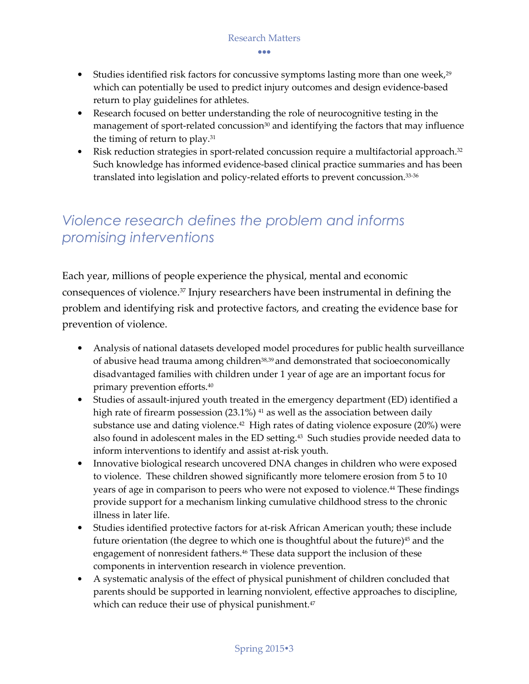•••

- Studies identified risk factors for concussive symptoms lasting more than one week, $29$ which can potentially be used to predict injury outcomes and design evidence-based return to play guidelines for athletes.
- Research focused on better understanding the role of neurocognitive testing in the management of sport-related concussion<sup>30</sup> and identifying the factors that may influence the timing of return to play.<sup>31</sup>
- Risk reduction strategies in sport-related concussion require a multifactorial approach.<sup>32</sup> Such knowledge has informed evidence-based clinical practice summaries and has been translated into legislation and policy-related efforts to prevent concussion.33-36

## *Violence research defines the problem and informs promising interventions*

Each year, millions of people experience the physical, mental and economic consequences of violence.37 Injury researchers have been instrumental in defining the problem and identifying risk and protective factors, and creating the evidence base for prevention of violence.

- Analysis of national datasets developed model procedures for public health surveillance of abusive head trauma among children<sup>38,39</sup> and demonstrated that socioeconomically disadvantaged families with children under 1 year of age are an important focus for primary prevention efforts.<sup>40</sup>
- Studies of assault-injured youth treated in the emergency department (ED) identified a high rate of firearm possession (23.1%)<sup>41</sup> as well as the association between daily substance use and dating violence.<sup>42</sup> High rates of dating violence exposure (20%) were also found in adolescent males in the ED setting.43 Such studies provide needed data to inform interventions to identify and assist at-risk youth.
- Innovative biological research uncovered DNA changes in children who were exposed to violence. These children showed significantly more telomere erosion from 5 to 10 years of age in comparison to peers who were not exposed to violence.44 These findings provide support for a mechanism linking cumulative childhood stress to the chronic illness in later life.
- Studies identified protective factors for at-risk African American youth; these include future orientation (the degree to which one is thoughtful about the future)<sup>45</sup> and the engagement of nonresident fathers.46 These data support the inclusion of these components in intervention research in violence prevention.
- A systematic analysis of the effect of physical punishment of children concluded that parents should be supported in learning nonviolent, effective approaches to discipline, which can reduce their use of physical punishment.<sup>47</sup>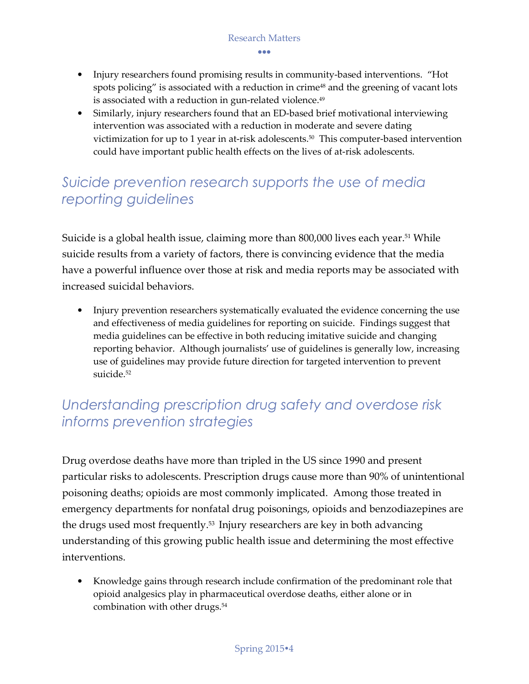•••

- Injury researchers found promising results in community-based interventions. "Hot spots policing" is associated with a reduction in crime<sup>48</sup> and the greening of vacant lots is associated with a reduction in gun-related violence.<sup>49</sup>
- Similarly, injury researchers found that an ED-based brief motivational interviewing intervention was associated with a reduction in moderate and severe dating victimization for up to 1 year in at-risk adolescents.<sup>50</sup> This computer-based intervention could have important public health effects on the lives of at-risk adolescents.

## *Suicide prevention research supports the use of media reporting guidelines*

Suicide is a global health issue, claiming more than 800,000 lives each year.<sup>51</sup> While suicide results from a variety of factors, there is convincing evidence that the media have a powerful influence over those at risk and media reports may be associated with increased suicidal behaviors.

• Injury prevention researchers systematically evaluated the evidence concerning the use and effectiveness of media guidelines for reporting on suicide. Findings suggest that media guidelines can be effective in both reducing imitative suicide and changing reporting behavior. Although journalists' use of guidelines is generally low, increasing use of guidelines may provide future direction for targeted intervention to prevent suicide.<sup>52</sup>

## *Understanding prescription drug safety and overdose risk informs prevention strategies*

Drug overdose deaths have more than tripled in the US since 1990 and present particular risks to adolescents. Prescription drugs cause more than 90% of unintentional poisoning deaths; opioids are most commonly implicated. Among those treated in emergency departments for nonfatal drug poisonings, opioids and benzodiazepines are the drugs used most frequently.53 Injury researchers are key in both advancing understanding of this growing public health issue and determining the most effective interventions.

• Knowledge gains through research include confirmation of the predominant role that opioid analgesics play in pharmaceutical overdose deaths, either alone or in combination with other drugs.<sup>54</sup>

#### Spring 20154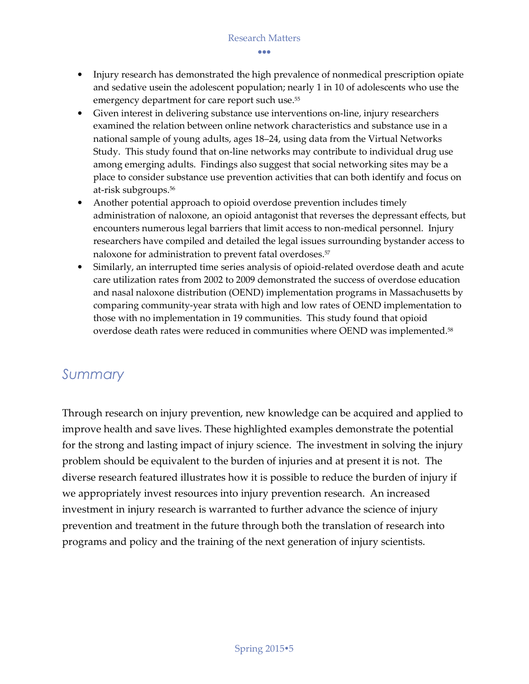•••

- Injury research has demonstrated the high prevalence of nonmedical prescription opiate and sedative usein the adolescent population; nearly 1 in 10 of adolescents who use the emergency department for care report such use.<sup>55</sup>
- Given interest in delivering substance use interventions on-line, injury researchers examined the relation between online network characteristics and substance use in a national sample of young adults, ages 18–24, using data from the Virtual Networks Study. This study found that on-line networks may contribute to individual drug use among emerging adults. Findings also suggest that social networking sites may be a place to consider substance use prevention activities that can both identify and focus on at-risk subgroups.<sup>56</sup>
- Another potential approach to opioid overdose prevention includes timely administration of naloxone, an opioid antagonist that reverses the depressant effects, but encounters numerous legal barriers that limit access to non-medical personnel. Injury researchers have compiled and detailed the legal issues surrounding bystander access to naloxone for administration to prevent fatal overdoses.<sup>57</sup>
- Similarly, an interrupted time series analysis of opioid-related overdose death and acute care utilization rates from 2002 to 2009 demonstrated the success of overdose education and nasal naloxone distribution (OEND) implementation programs in Massachusetts by comparing community-year strata with high and low rates of OEND implementation to those with no implementation in 19 communities. This study found that opioid overdose death rates were reduced in communities where OEND was implemented.<sup>58</sup>

### *Summary*

Through research on injury prevention, new knowledge can be acquired and applied to improve health and save lives. These highlighted examples demonstrate the potential for the strong and lasting impact of injury science. The investment in solving the injury problem should be equivalent to the burden of injuries and at present it is not. The diverse research featured illustrates how it is possible to reduce the burden of injury if we appropriately invest resources into injury prevention research. An increased investment in injury research is warranted to further advance the science of injury prevention and treatment in the future through both the translation of research into programs and policy and the training of the next generation of injury scientists.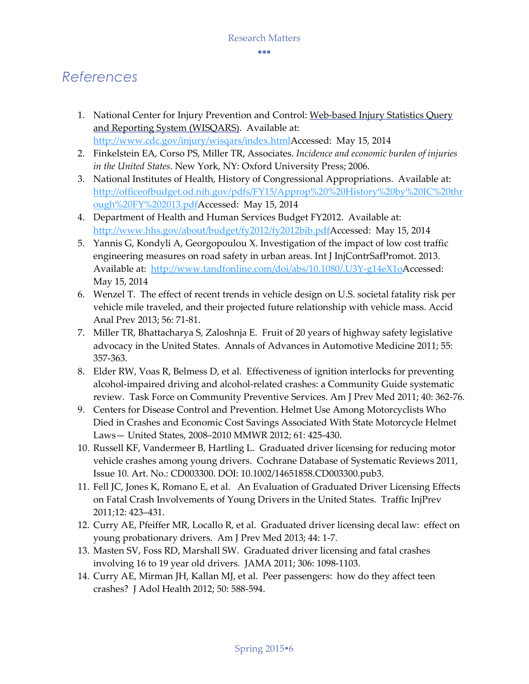## *References*

- 1. National Center for Injury Prevention and Control: Web-based Injury Statistics Query and Reporting System (WISQARS). Available at: http://www.cdc.gov/injury/wisqars/index.htmlAccessed: May 15, 2014
- 2. Finkelstein EA, Corso PS, Miller TR, Associates. *Incidence and economic burden of injuries in the United States*. New York, NY: Oxford University Press; 2006.
- 3. National Institutes of Health, History of Congressional Appropriations. Available at: http://officeofbudget.od.nih.gov/pdfs/FY15/Approp%20%20History%20by%20IC%20thr ough%20FY%202013.pdfAccessed: May 15, 2014
- 4. Department of Health and Human Services Budget FY2012. Available at: http://www.hhs.gov/about/budget/fy2012/fy2012bib.pdfAccessed: May 15, 2014
- 5. Yannis G, Kondyli A, Georgopoulou X. Investigation of the impact of low cost traffic engineering measures on road safety in urban areas. Int J InjContrSafPromot. 2013. Available at: http://www.tandfonline.com/doi/abs/10.1080/.U3Y-g14eX1oAccessed: May 15, 2014
- 6. Wenzel T. The effect of recent trends in vehicle design on U.S. societal fatality risk per vehicle mile traveled, and their projected future relationship with vehicle mass. Accid Anal Prev 2013; 56: 71-81.
- 7. Miller TR, Bhattacharya S, Zaloshnja E. Fruit of 20 years of highway safety legislative advocacy in the United States. Annals of Advances in Automotive Medicine 2011; 55: 357-363.
- 8. Elder RW, Voas R, Belmess D, et al. Effectiveness of ignition interlocks for preventing alcohol-impaired driving and alcohol-related crashes: a Community Guide systematic review. Task Force on Community Preventive Services. Am J Prev Med 2011; 40: 362-76.
- 9. Centers for Disease Control and Prevention. Helmet Use Among Motorcyclists Who Died in Crashes and Economic Cost Savings Associated With State Motorcycle Helmet Laws— United States, 2008–2010 MMWR 2012; 61: 425-430.
- 10. Russell KF, Vandermeer B, Hartling L. Graduated driver licensing for reducing motor vehicle crashes among young drivers. Cochrane Database of Systematic Reviews 2011, Issue 10. Art. No.: CD003300. DOI: 10.1002/14651858.CD003300.pub3.
- 11. Fell JC, Jones K, Romano E, et al. An Evaluation of Graduated Driver Licensing Effects on Fatal Crash Involvements of Young Drivers in the United States. Traffic InjPrev 2011;12: 423–431.
- 12. Curry AE, Pfeiffer MR, Locallo R, et al. Graduated driver licensing decal law: effect on young probationary drivers. Am J Prev Med 2013; 44: 1-7.
- 13. Masten SV, Foss RD, Marshall SW. Graduated driver licensing and fatal crashes involving 16 to 19 year old drivers. JAMA 2011; 306: 1098-1103.
- 14. Curry AE, Mirman JH, Kallan MJ, et al. Peer passengers: how do they affect teen crashes? J Adol Health 2012; 50: 588-594.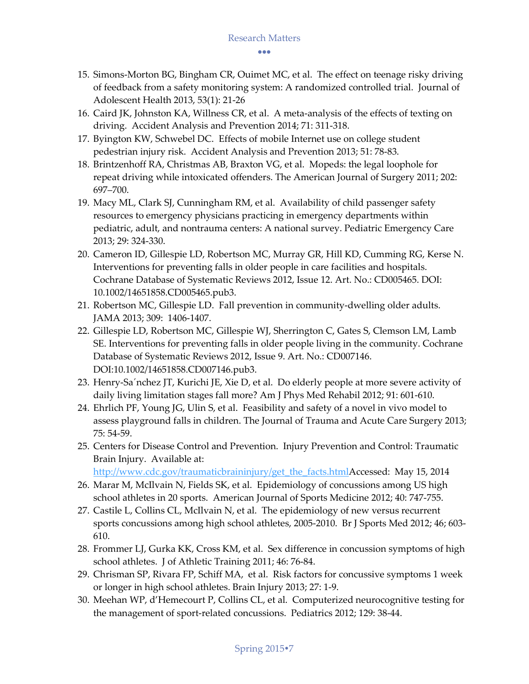•••

- 15. Simons-Morton BG, Bingham CR, Ouimet MC, et al. The effect on teenage risky driving of feedback from a safety monitoring system: A randomized controlled trial. Journal of Adolescent Health 2013, 53(1): 21-26
- 16. Caird JK, Johnston KA, Willness CR, et al. A meta-analysis of the effects of texting on driving. Accident Analysis and Prevention 2014; 71: 311-318.
- 17. Byington KW, Schwebel DC. Effects of mobile Internet use on college student pedestrian injury risk. Accident Analysis and Prevention 2013; 51: 78-83.
- 18. Brintzenhoff RA, Christmas AB, Braxton VG, et al. Mopeds: the legal loophole for repeat driving while intoxicated offenders. The American Journal of Surgery 2011; 202: 697–700.
- 19. Macy ML, Clark SJ, Cunningham RM, et al. Availability of child passenger safety resources to emergency physicians practicing in emergency departments within pediatric, adult, and nontrauma centers: A national survey. Pediatric Emergency Care 2013; 29: 324-330.
- 20. Cameron ID, Gillespie LD, Robertson MC, Murray GR, Hill KD, Cumming RG, Kerse N. Interventions for preventing falls in older people in care facilities and hospitals. Cochrane Database of Systematic Reviews 2012, Issue 12. Art. No.: CD005465. DOI: 10.1002/14651858.CD005465.pub3.
- 21. Robertson MC, Gillespie LD. Fall prevention in community-dwelling older adults. JAMA 2013; 309: 1406-1407.
- 22. Gillespie LD, Robertson MC, Gillespie WJ, Sherrington C, Gates S, Clemson LM, Lamb SE. Interventions for preventing falls in older people living in the community. Cochrane Database of Systematic Reviews 2012, Issue 9. Art. No.: CD007146. DOI:10.1002/14651858.CD007146.pub3.
- 23. Henry-Sa´nchez JT, Kurichi JE, Xie D, et al. Do elderly people at more severe activity of daily living limitation stages fall more? Am J Phys Med Rehabil 2012; 91: 601-610.
- 24. Ehrlich PF, Young JG, Ulin S, et al. Feasibility and safety of a novel in vivo model to assess playground falls in children. The Journal of Trauma and Acute Care Surgery 2013; 75: 54-59.
- 25. Centers for Disease Control and Prevention. Injury Prevention and Control: Traumatic Brain Injury. Available at:

http://www.cdc.gov/traumaticbraininjury/get\_the\_facts.htmlAccessed: May 15, 2014

- 26. Marar M, McIlvain N, Fields SK, et al. Epidemiology of concussions among US high school athletes in 20 sports. American Journal of Sports Medicine 2012; 40: 747-755.
- 27. Castile L, Collins CL, McIlvain N, et al. The epidemiology of new versus recurrent sports concussions among high school athletes, 2005-2010. Br J Sports Med 2012; 46; 603- 610.
- 28. Frommer LJ, Gurka KK, Cross KM, et al. Sex difference in concussion symptoms of high school athletes. J of Athletic Training 2011; 46: 76-84.
- 29. Chrisman SP, Rivara FP, Schiff MA, et al. Risk factors for concussive symptoms 1 week or longer in high school athletes. Brain Injury 2013; 27: 1-9.
- 30. Meehan WP, d'Hemecourt P, Collins CL, et al. Computerized neurocognitive testing for the management of sport-related concussions. Pediatrics 2012; 129: 38-44.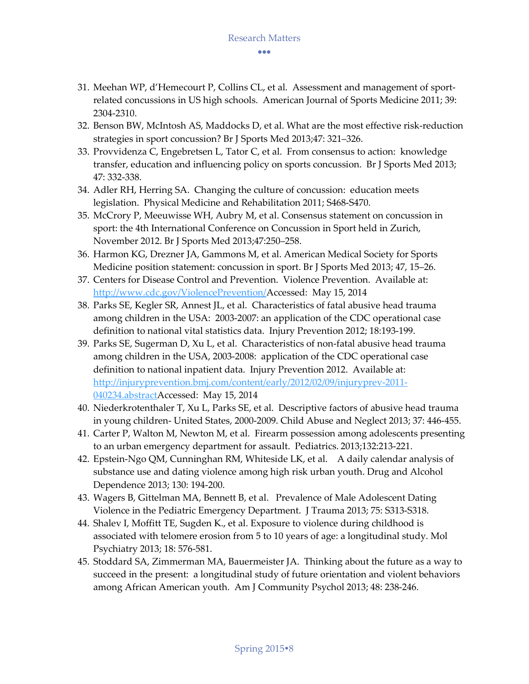- 31. Meehan WP, d'Hemecourt P, Collins CL, et al. Assessment and management of sportrelated concussions in US high schools. American Journal of Sports Medicine 2011; 39: 2304-2310.
- 32. Benson BW, McIntosh AS, Maddocks D, et al. What are the most effective risk-reduction strategies in sport concussion? Br J Sports Med 2013;47: 321–326.
- 33. Provvidenza C, Engebretsen L, Tator C, et al. From consensus to action: knowledge transfer, education and influencing policy on sports concussion. Br J Sports Med 2013; 47: 332-338.
- 34. Adler RH, Herring SA. Changing the culture of concussion: education meets legislation. Physical Medicine and Rehabilitation 2011; S468-S470.
- 35. McCrory P, Meeuwisse WH, Aubry M, et al. Consensus statement on concussion in sport: the 4th International Conference on Concussion in Sport held in Zurich, November 2012. Br J Sports Med 2013;47:250–258.
- 36. Harmon KG, Drezner JA, Gammons M, et al. American Medical Society for Sports Medicine position statement: concussion in sport. Br J Sports Med 2013; 47, 15–26.
- 37. Centers for Disease Control and Prevention. Violence Prevention. Available at: http://www.cdc.gov/ViolencePrevention/Accessed: May 15, 2014
- 38. Parks SE, Kegler SR, Annest JL, et al. Characteristics of fatal abusive head trauma among children in the USA: 2003-2007: an application of the CDC operational case definition to national vital statistics data. Injury Prevention 2012; 18:193-199.
- 39. Parks SE, Sugerman D, Xu L, et al. Characteristics of non-fatal abusive head trauma among children in the USA, 2003-2008: application of the CDC operational case definition to national inpatient data. Injury Prevention 2012. Available at: http://injuryprevention.bmj.com/content/early/2012/02/09/injuryprev-2011- 040234.abstractAccessed: May 15, 2014
- 40. Niederkrotenthaler T, Xu L, Parks SE, et al. Descriptive factors of abusive head trauma in young children- United States, 2000-2009. Child Abuse and Neglect 2013; 37: 446-455.
- 41. Carter P, Walton M, Newton M, et al. Firearm possession among adolescents presenting to an urban emergency department for assault. Pediatrics. 2013;132:213-221.
- 42. Epstein-Ngo QM, Cunninghan RM, Whiteside LK, et al. A daily calendar analysis of substance use and dating violence among high risk urban youth. Drug and Alcohol Dependence 2013; 130: 194-200.
- 43. Wagers B, Gittelman MA, Bennett B, et al. Prevalence of Male Adolescent Dating Violence in the Pediatric Emergency Department. J Trauma 2013; 75: S313-S318.
- 44. Shalev I, Moffitt TE, Sugden K., et al. Exposure to violence during childhood is associated with telomere erosion from 5 to 10 years of age: a longitudinal study. Mol Psychiatry 2013; 18: 576-581.
- 45. Stoddard SA, Zimmerman MA, Bauermeister JA. Thinking about the future as a way to succeed in the present: a longitudinal study of future orientation and violent behaviors among African American youth. Am J Community Psychol 2013; 48: 238-246.